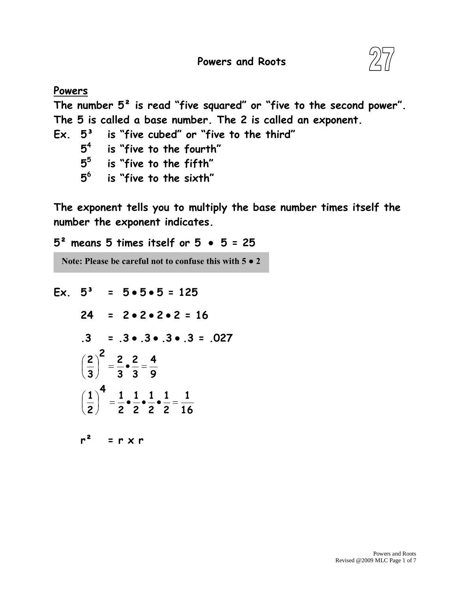

## **Powers The number 5² is read "five squared" or "five to the second power". The 5 is called a base number. The 2 is called an exponent. Ex. 5³ is "five cubed" or "five to the third" 4 is "five to the fourth" 5 is "five to the fifth" 6 is "five to the sixth"**

**The exponent tells you to multiply the base number times itself the number the exponent indicates.**

**5² means 5 times itself or 5 ● 5 = 25**

**Note: Please be careful not to confuse this with 5 ● 2**

**Ex. 5³ = 5●5●5 = 125 = 2●2●2●2 = 16 .3 = .3●.3●.3●.3 = .027**  $r^2$  =  $r \times r$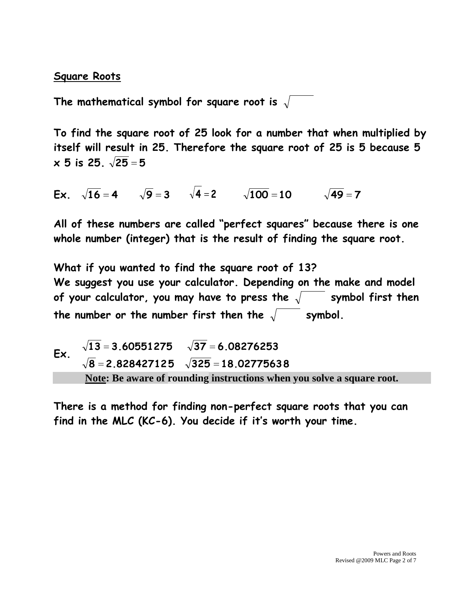## **Square Roots**

**The mathematical symbol for square root is** 

**To find the square root of 25 look for a number that when multiplied by itself will result in 25. Therefore the square root of 25 is 5 because 5 x 5 is 25. 25 5**

**Ex**.  $\sqrt{16} = 4$   $\sqrt{9} = 3$   $\sqrt{4} = 2$   $\sqrt{100} = 10$   $\sqrt{49} = 7$ 

**All of these numbers are called "perfect squares" because there is one whole number (integer) that is the result of finding the square root.**

**What if you wanted to find the square root of 13? We suggest you use your calculator. Depending on the make and model**  of your calculator, you may have to press the  $\sqrt{ }$  symbol first then the number or the number first then the  $\sqrt{\phantom{a}}$  symbol.

Ex. 
$$
\sqrt{13} = 3.60551275
$$
  $\sqrt{37} = 6.08276253$   
\n $\sqrt{8} = 2.828427125$   $\sqrt{325} = 18.02775638$   
\nNote: Be aware of rounding instructions when you solve a square root.

**There is a method for finding non-perfect square roots that you can find in the MLC (KC-6). You decide if it's worth your time.**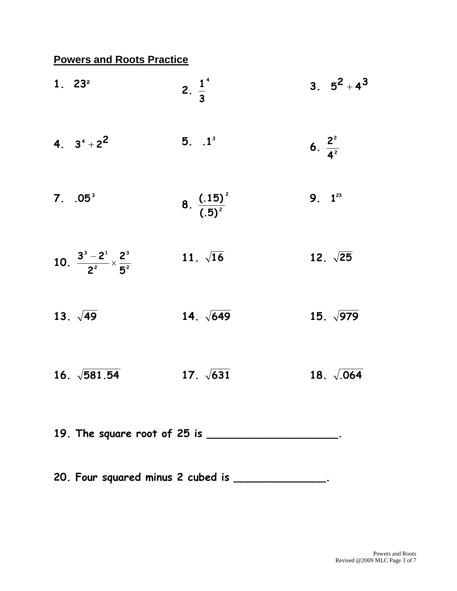## **Powers and Roots Practice**

| 1.23 <sup>2</sup>                                | 2. $\frac{1}{3}$                                     | 3. $5^2 + 4^3$       |
|--------------------------------------------------|------------------------------------------------------|----------------------|
| 4. $3^4 + 2^2$                                   | $5. 1^3$                                             | 6. $\frac{2^2}{4^2}$ |
| 7. 05 <sup>3</sup>                               | 8. $\frac{(.15)^2}{(.5)^2}$                          | 9. $1^{23}$          |
| 10. $\frac{3^3-2^1}{2^2} \times \frac{2^3}{5^2}$ | 11. $\sqrt{16}$                                      | 12. $\sqrt{25}$      |
| 13. $\sqrt{49}$                                  | 14. $\sqrt{649}$                                     | 15. $\sqrt{979}$     |
| 16. $\sqrt{581.54}$                              | 17. $\sqrt{631}$                                     | 18. $\sqrt{.064}$    |
|                                                  | 19. The square root of 25 is ______________________. |                      |
|                                                  | 20. Four squared minus 2 cubed is _______________.   |                      |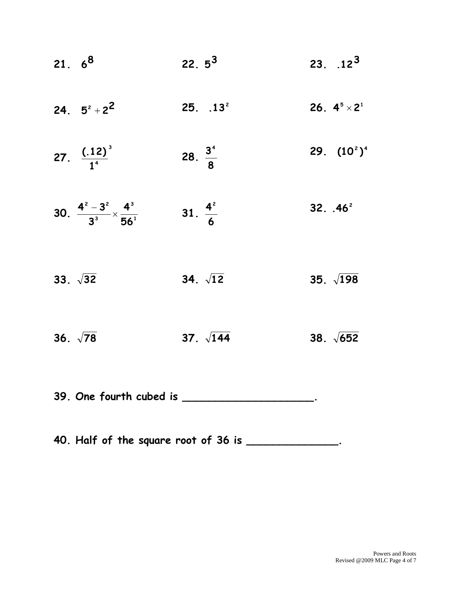| 21.6 <sup>8</sup>                                           | $22.5^3$            | 23. $.12^3$          |
|-------------------------------------------------------------|---------------------|----------------------|
| 24. $5^2 + 2^2$                                             | 25. 13 <sup>2</sup> | 26. $4^5 \times 2^1$ |
| 27. $\frac{(.12)^3}{1^4}$                                   | 28. $\frac{3^4}{8}$ | 29. $(10^2)^4$       |
| 30. $\frac{4^{2}-3^{2}}{3^{3}} \times \frac{4^{3}}{56^{1}}$ | 31. $\frac{4^2}{6}$ | 32. $.46^2$          |
| 33. $\sqrt{32}$                                             | 34. $\sqrt{12}$     | 35. $\sqrt{198}$     |
| 36. $\sqrt{78}$                                             | 37. $\sqrt{144}$    | 38. $\sqrt{652}$     |
| 39. One fourth cubed is ____                                |                     |                      |

**40. Half of the square root of 36 is \_\_\_\_\_\_\_\_\_\_\_\_\_\_.**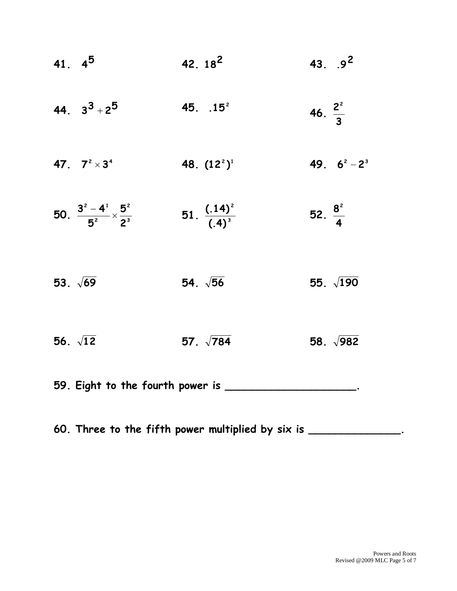| 41. $4^5$                                        | 42. $18^2$                       | 43. $.92$           |
|--------------------------------------------------|----------------------------------|---------------------|
| 44. $3^3 + 2^5$                                  | 45. $.15^2$                      | 46. $\frac{2^2}{3}$ |
| 47. $7^2 \times 3^4$                             | 48. $(122)1$                     | 49. $6^2 - 2^3$     |
| 50. $\frac{3^2-4^1}{5^2} \times \frac{5^2}{2^3}$ | 51. $\frac{(.14)^{2}}{(.4)^{3}}$ | 52. $\frac{8^2}{4}$ |
| 53. $\sqrt{69}$                                  | 54. $\sqrt{56}$                  | 55. $\sqrt{190}$    |
| 56. $\sqrt{12}$                                  | 57. $\sqrt{784}$                 | 58. $\sqrt{982}$    |
| 59. Eight to the fourth power is _               |                                  |                     |

**60. Three to the fifth power multiplied by six is \_\_\_\_\_\_\_\_\_\_\_\_\_\_.**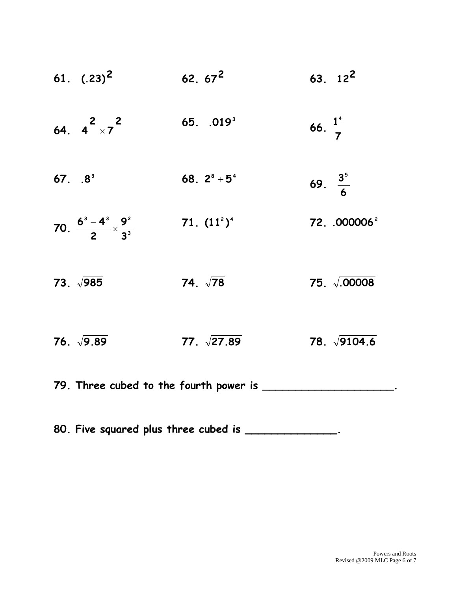|           | 61. $(.23)^2$                                  | $62.67^2$             | $63.12^2$                |
|-----------|------------------------------------------------|-----------------------|--------------------------|
|           | 64. $4^{2} \times 7^{2}$                       | 65. .019 <sup>3</sup> | 66. $\frac{1}{7}$        |
| $67. 8^3$ |                                                | 68. $2^8 + 5^4$       | 69. $\frac{3^5}{6}$      |
|           | 70. $\frac{6^3-4^3}{2} \times \frac{9^2}{3^3}$ | 71. $(11^2)^4$        | 72. .000006 <sup>2</sup> |
|           | 73. $\sqrt{985}$                               | 74. $\sqrt{78}$       | 75. $\sqrt{0.00008}$     |
|           | 76. $\sqrt{9.89}$                              | 77. $\sqrt{27.89}$    | 78. $\sqrt{9104.6}$      |
|           | 79. Three cubed to the fourth power is _       |                       |                          |

**80. Five squared plus three cubed is \_\_\_\_\_\_\_\_\_\_\_\_\_\_.**